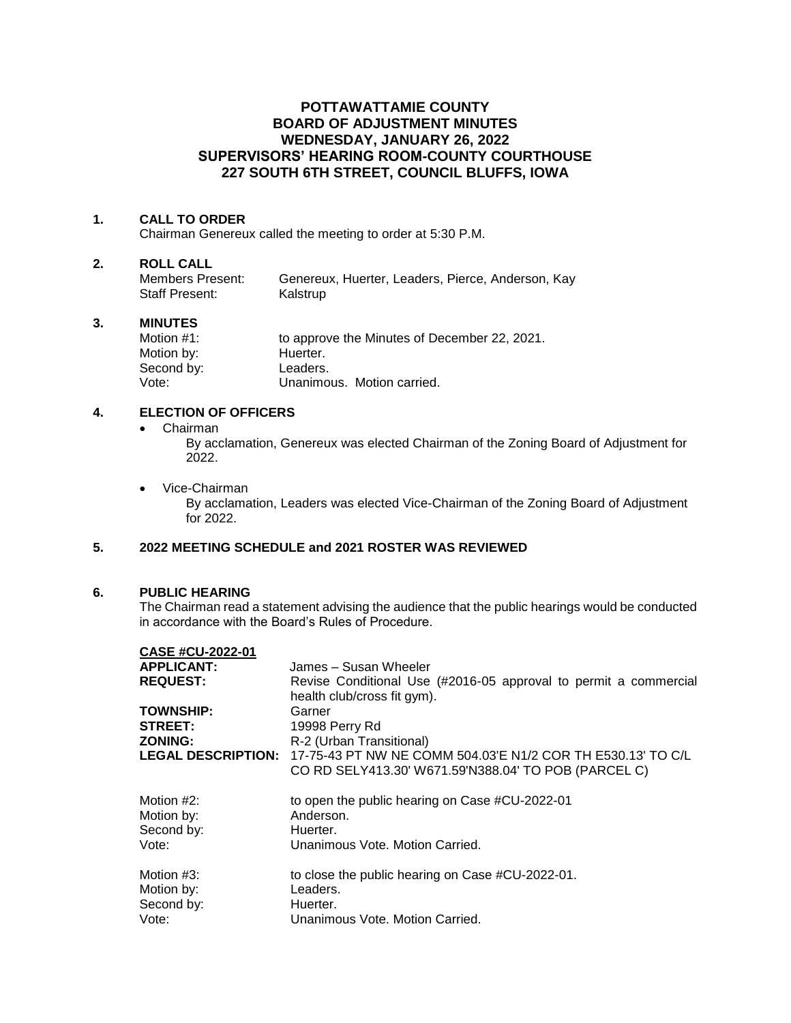## **POTTAWATTAMIE COUNTY BOARD OF ADJUSTMENT MINUTES WEDNESDAY, JANUARY 26, 2022 SUPERVISORS' HEARING ROOM-COUNTY COURTHOUSE 227 SOUTH 6TH STREET, COUNCIL BLUFFS, IOWA**

#### **1. CALL TO ORDER**

Chairman Genereux called the meeting to order at 5:30 P.M.

# **2. ROLL CALL**

Genereux, Huerter, Leaders, Pierce, Anderson, Kay Staff Present: Kalstrup

#### **3. MINUTES**

Motion #1: to approve the Minutes of December 22, 2021. Motion by: Huerter.<br>Second by: Leaders. Second by: Vote: Unanimous. Motion carried.

### **4. ELECTION OF OFFICERS**

• Chairman

By acclamation, Genereux was elected Chairman of the Zoning Board of Adjustment for 2022.

• Vice-Chairman

By acclamation, Leaders was elected Vice-Chairman of the Zoning Board of Adjustment for 2022.

## **5. 2022 MEETING SCHEDULE and 2021 ROSTER WAS REVIEWED**

#### **6. PUBLIC HEARING**

The Chairman read a statement advising the audience that the public hearings would be conducted in accordance with the Board's Rules of Procedure.

| CASE #CU-2022-01          |                                                                  |
|---------------------------|------------------------------------------------------------------|
| <b>APPLICANT:</b>         | James - Susan Wheeler                                            |
| <b>REQUEST:</b>           | Revise Conditional Use (#2016-05 approval to permit a commercial |
|                           | health club/cross fit gym).                                      |
| <b>TOWNSHIP:</b>          | Garner                                                           |
| <b>STREET:</b>            | 19998 Perry Rd                                                   |
| <b>ZONING:</b>            | R-2 (Urban Transitional)                                         |
| <b>LEGAL DESCRIPTION:</b> | 17-75-43 PT NW NE COMM 504.03'E N1/2 COR TH E530.13' TO C/L      |
|                           | CO RD SELY413.30' W671.59'N388.04' TO POB (PARCEL C)             |
| Motion #2:                | to open the public hearing on Case #CU-2022-01                   |
| Motion by:                | Anderson.                                                        |
| Second by:                | Huerter.                                                         |
| Vote:                     | Unanimous Vote, Motion Carried.                                  |
| Motion #3:                | to close the public hearing on Case #CU-2022-01.                 |
| Motion by:                | Leaders.                                                         |
| Second by:                | Huerter.                                                         |
|                           |                                                                  |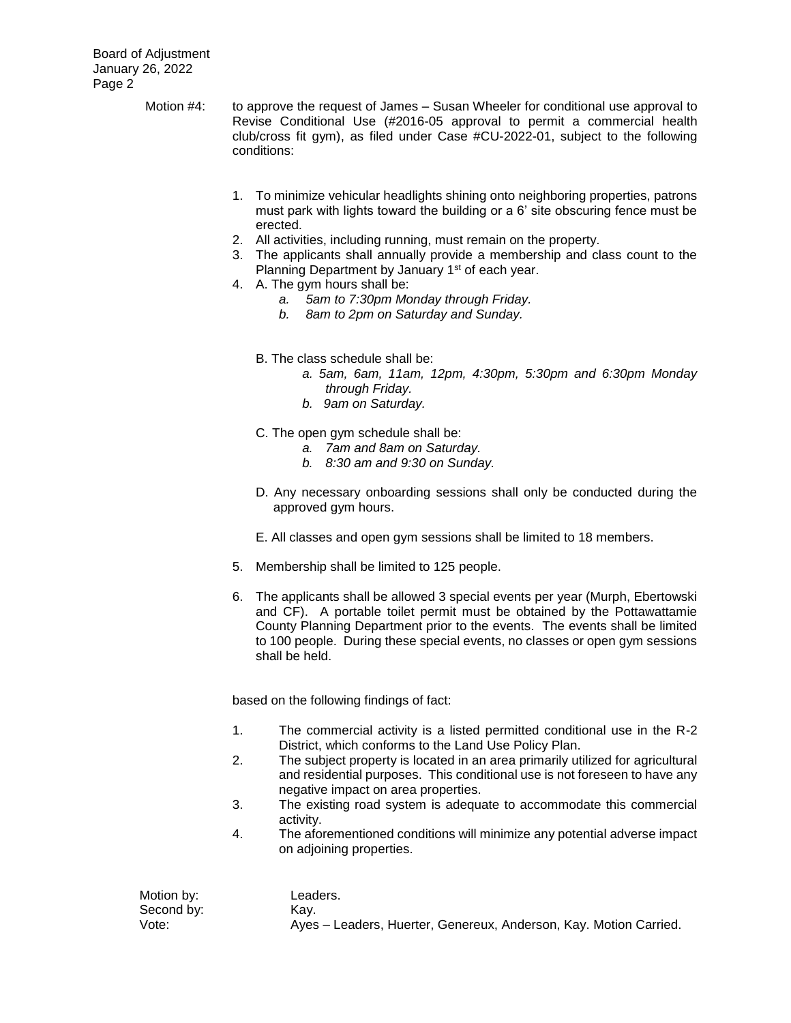- Motion #4: to approve the request of James Susan Wheeler for conditional use approval to Revise Conditional Use (#2016-05 approval to permit a commercial health club/cross fit gym), as filed under Case #CU-2022-01, subject to the following conditions:
	- 1. To minimize vehicular headlights shining onto neighboring properties, patrons must park with lights toward the building or a 6' site obscuring fence must be erected.
	- 2. All activities, including running, must remain on the property.
	- 3. The applicants shall annually provide a membership and class count to the Planning Department by January 1<sup>st</sup> of each year.
	- 4. A. The gym hours shall be:
		- *a. 5am to 7:30pm Monday through Friday.*
		- *b. 8am to 2pm on Saturday and Sunday.*
		- B. The class schedule shall be:
			- *a. 5am, 6am, 11am, 12pm, 4:30pm, 5:30pm and 6:30pm Monday through Friday.*
			- *b. 9am on Saturday.*
		- C. The open gym schedule shall be:
			- *a. 7am and 8am on Saturday.*
			- *b. 8:30 am and 9:30 on Sunday.*
		- D. Any necessary onboarding sessions shall only be conducted during the approved gym hours.
		- E. All classes and open gym sessions shall be limited to 18 members.
	- 5. Membership shall be limited to 125 people.
	- 6. The applicants shall be allowed 3 special events per year (Murph, Ebertowski and CF). A portable toilet permit must be obtained by the Pottawattamie County Planning Department prior to the events. The events shall be limited to 100 people. During these special events, no classes or open gym sessions shall be held.

based on the following findings of fact:

- 1. The commercial activity is a listed permitted conditional use in the R-2 District, which conforms to the Land Use Policy Plan.
- 2. The subject property is located in an area primarily utilized for agricultural and residential purposes. This conditional use is not foreseen to have any negative impact on area properties.
- 3. The existing road system is adequate to accommodate this commercial activity.
- 4. The aforementioned conditions will minimize any potential adverse impact on adjoining properties.

Motion by: Leaders. Second by: Kay.

Vote: Ayes – Leaders, Huerter, Genereux, Anderson, Kay. Motion Carried.